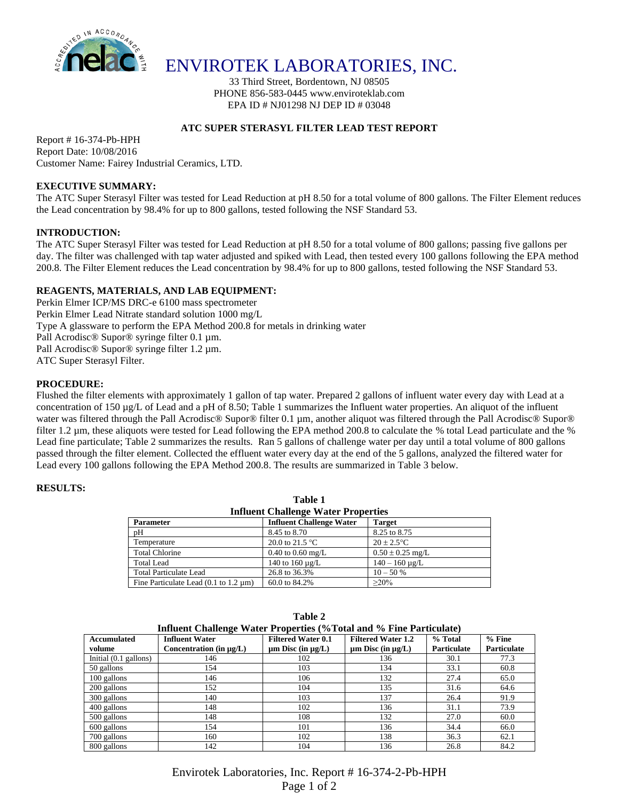

ENVIROTEK LABORATORIES, INC.

33 Third Street, Bordentown, NJ 08505 PHONE 856-583-0445 www.enviroteklab.com EPA ID # NJ01298 NJ DEP ID # 03048

# **ATC SUPER STERASYL FILTER LEAD TEST REPORT**

Report # 16-374-Pb-HPH Report Date: 10/08/2016 Customer Name: Fairey Industrial Ceramics, LTD.

# **EXECUTIVE SUMMARY:**

The ATC Super Sterasyl Filter was tested for Lead Reduction at pH 8.50 for a total volume of 800 gallons. The Filter Element reduces the Lead concentration by 98.4% for up to 800 gallons, tested following the NSF Standard 53.

# **INTRODUCTION:**

The ATC Super Sterasyl Filter was tested for Lead Reduction at pH 8.50 for a total volume of 800 gallons; passing five gallons per day. The filter was challenged with tap water adjusted and spiked with Lead, then tested every 100 gallons following the EPA method 200.8. The Filter Element reduces the Lead concentration by 98.4% for up to 800 gallons, tested following the NSF Standard 53.

# **REAGENTS, MATERIALS, AND LAB EQUIPMENT:**

Perkin Elmer ICP/MS DRC-e 6100 mass spectrometer Perkin Elmer Lead Nitrate standard solution 1000 mg/L Type A glassware to perform the EPA Method 200.8 for metals in drinking water Pall Acrodisc® Supor® syringe filter 0.1 µm. Pall Acrodisc® Supor® syringe filter 1.2 µm. ATC Super Sterasyl Filter.

# **PROCEDURE:**

Flushed the filter elements with approximately 1 gallon of tap water. Prepared 2 gallons of influent water every day with Lead at a concentration of 150 µg/L of Lead and a pH of 8.50; Table 1 summarizes the Influent water properties. An aliquot of the influent water was filtered through the Pall Acrodisc® Supor® filter 0.1 µm, another aliquot was filtered through the Pall Acrodisc® Supor® filter 1.2 µm, these aliquots were tested for Lead following the EPA method 200.8 to calculate the % total Lead particulate and the % Lead fine particulate; Table 2 summarizes the results. Ran 5 gallons of challenge water per day until a total volume of 800 gallons passed through the filter element. Collected the effluent water every day at the end of the 5 gallons, analyzed the filtered water for Lead every 100 gallons following the EPA Method 200.8. The results are summarized in Table 3 below.

#### **RESULTS:**

| <b>Influent Challenge Water Properties</b>               |                                 |                      |  |  |  |  |
|----------------------------------------------------------|---------------------------------|----------------------|--|--|--|--|
| <b>Parameter</b>                                         | <b>Influent Challenge Water</b> | <b>Target</b>        |  |  |  |  |
| pH                                                       | 8.45 to 8.70                    | 8.25 to 8.75         |  |  |  |  |
| Temperature                                              | 20.0 to 21.5 $^{\circ}$ C       | $20 \pm 2.5$ °C      |  |  |  |  |
| <b>Total Chlorine</b>                                    | 0.40 to 0.60 mg/L               | $0.50 \pm 0.25$ mg/L |  |  |  |  |
| <b>Total Lead</b>                                        | 140 to $160 \mu g/L$            | $140 - 160 \mu$ g/L  |  |  |  |  |
| <b>Total Particulate Lead</b>                            | 26.8 to 36.3%                   | $10 - 50%$           |  |  |  |  |
| Fine Particulate Lead $(0.1 \text{ to } 1.2 \text{ µm})$ | 60.0 to 84.2%                   | $>20\%$              |  |  |  |  |

**Table 1**

| Influent Challenge Water Properties (%Total and % Fine Particulate) |                              |                             |                             |                    |                    |  |  |
|---------------------------------------------------------------------|------------------------------|-----------------------------|-----------------------------|--------------------|--------------------|--|--|
| <b>Accumulated</b>                                                  | <b>Influent Water</b>        | <b>Filtered Water 0.1</b>   | <b>Filtered Water 1.2</b>   | % Total            | $%$ Fine           |  |  |
| volume                                                              | Concentration (in $\mu$ g/L) | $\mu$ m Disc (in $\mu$ g/L) | $\mu$ m Disc (in $\mu$ g/L) | <b>Particulate</b> | <b>Particulate</b> |  |  |
| Initial $(0.1 \text{ gallons})$                                     | 146                          | 102                         | 136                         | 30.1               | 77.3               |  |  |
| 50 gallons                                                          | 154                          | 103                         | 134                         | 33.1               | 60.8               |  |  |
| 100 gallons                                                         | 146                          | 106                         | 132                         | 27.4               | 65.0               |  |  |
| 200 gallons                                                         | 152                          | 104                         | 135                         | 31.6               | 64.6               |  |  |
| 300 gallons                                                         | 140                          | 103                         | 137                         | 26.4               | 91.9               |  |  |
| 400 gallons                                                         | 148                          | 102                         | 136                         | 31.1               | 73.9               |  |  |
| 500 gallons                                                         | 148                          | 108                         | 132                         | 27.0               | 60.0               |  |  |
| 600 gallons                                                         | 154                          | 101                         | 136                         | 34.4               | 66.0               |  |  |
| 700 gallons                                                         | 160                          | 102                         | 138                         | 36.3               | 62.1               |  |  |
| 800 gallons                                                         | 142                          | 104                         | 136                         | 26.8               | 84.2               |  |  |

**Table 2**

Envirotek Laboratories, Inc. Report # 16-374-2-Pb-HPH Page 1 of 2